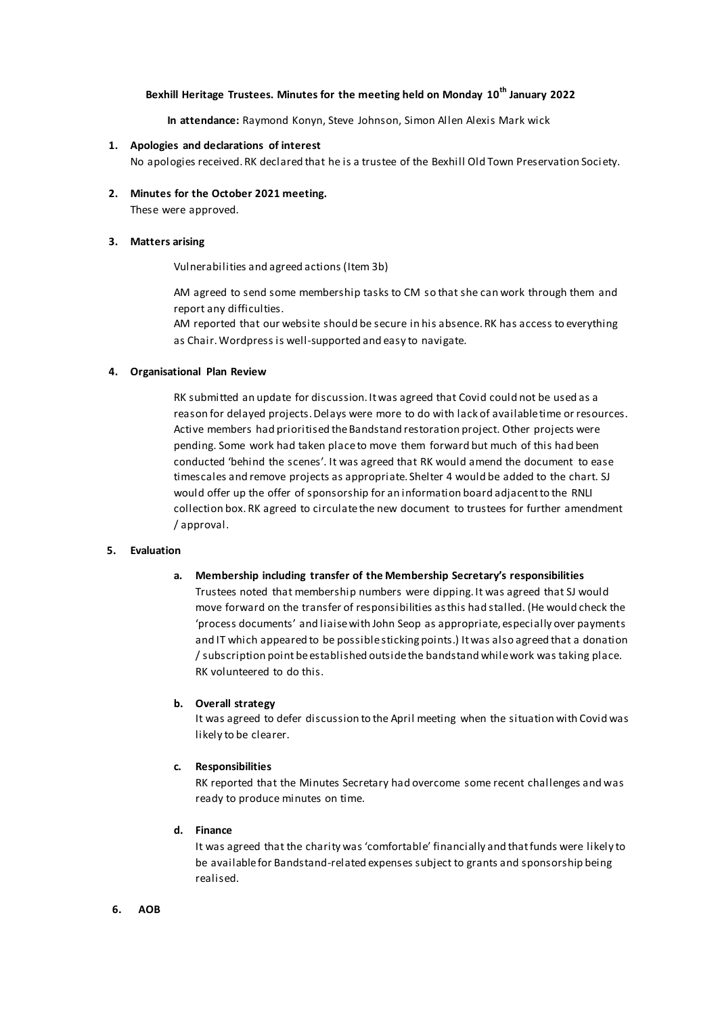# **Bexhill Heritage Trustees. Minutes for the meeting held on Monday 10th January 2022**

**In attendance:** Raymond Konyn, Steve Johnson, Simon Allen Alexis Mark wick

### **1. Apologies and declarations of interest**

No apologies received.RK declared that he is a trustee of the Bexhill Old Town Preservation Soci ety.

**2. Minutes for the October 2021 meeting.** These were approved.

#### **3. Matters arising**

Vulnerabilities and agreed actions (Item 3b)

AM agreed to send some membership tasks to CM so that she can work through them and report any difficulties.

AM reported that our website should be secure in his absence. RK has access to everything as Chair. Wordpress is well-supported and easy to navigate.

#### **4. Organisational Plan Review**

RK submitted an update for discussion. It was agreed that Covid could not be used as a reason for delayed projects. Delays were more to do with lack of available time or resources. Active members had prioritised the Bandstand restoration project. Other projects were pending. Some work had taken place to move them forward but much of this had been conducted 'behind the scenes'. It was agreed that RK would amend the document to ease timescales and remove projects as appropriate. Shelter 4 would be added to the chart. SJ would offer up the offer of sponsorship for an information board adjacent to the RNLI collection box. RK agreed to circulate the new document to trustees for further amendment / approval.

#### **5. Evaluation**

#### **a. Membership including transfer of the Membership Secretary's responsibilities**

Trustees noted that membership numbers were dipping. It was agreed that SJ would move forward on the transfer of responsibilities as this had stalled. (He would check the 'process documents' and liaise with John Seop as appropriate, especially over payments and IT which appeared to be possible sticking points.) It was also agreed that a donation / subscription point be established outside the bandstand while work was taking place. RK volunteered to do this.

### **b. Overall strategy**

It was agreed to defer discussion to the April meeting when the situation with Covid was likely to be clearer.

#### **c. Responsibilities**

RK reported that the Minutes Secretary had overcome some recent challenges and was ready to produce minutes on time.

**d. Finance**

It was agreed that the charity was 'comfortable' financially and that funds were likely to be available for Bandstand-related expenses subject to grants and sponsorship being realised.

#### **6. AOB**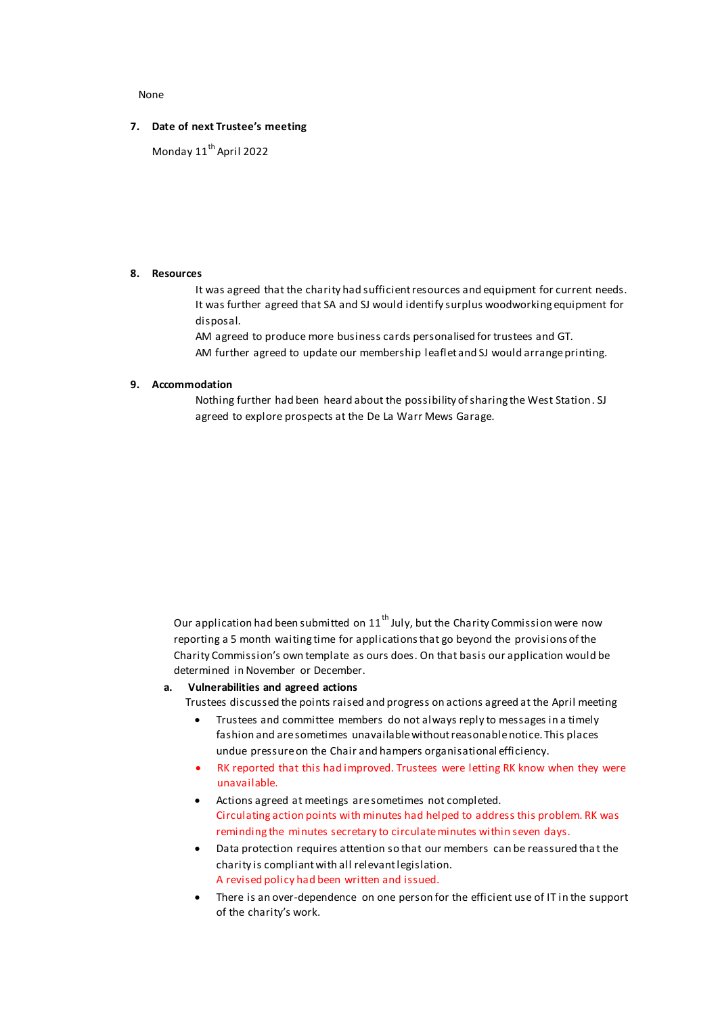None

### **7. Date of next Trustee's meeting**

Monday 11<sup>th</sup> April 2022

### **8. Resources**

It was agreed that the charity had sufficient resources and equipment for current needs. It was further agreed that SA and SJ would identify surplus woodworking equipment for disposal.

AM agreed to produce more business cards personalised for trustees and GT. AM further agreed to update our membership leaflet and SJ would arrange printing.

### **9. Accommodation**

Nothing further had been heard about the possibility of sharing the West Station. SJ agreed to explore prospects at the De La Warr Mews Garage.

Our application had been submitted on  $11<sup>th</sup>$  July, but the Charity Commission were now reporting a 5 month waiting time for applications that go beyond the provisions of the Charity Commission's own template as ours does. On that basis our application would be determined in November or December.

### **a. Vulnerabilities and agreed actions**

Trustees discussed the points raised and progress on actions agreed at the April meeting

- Trustees and committee members do not always reply to messages in a timely fashion and are sometimes unavailable without reasonable notice. This places undue pressure on the Chair and hampers organisational efficiency.
- RK reported that this had improved. Trustees were letting RK know when they were unavailable.
- Actions agreed at meetings are sometimes not completed. Circulating action points with minutes had helped to address this problem. RK was reminding the minutes secretary to circulate minutes within seven days.
- Data protection requires attention so that our members can be reassured tha t the charity is compliant with all relevant legislation. A revised policy had been written and issued.
- There is an over-dependence on one person for the efficient use of IT in the support of the charity's work.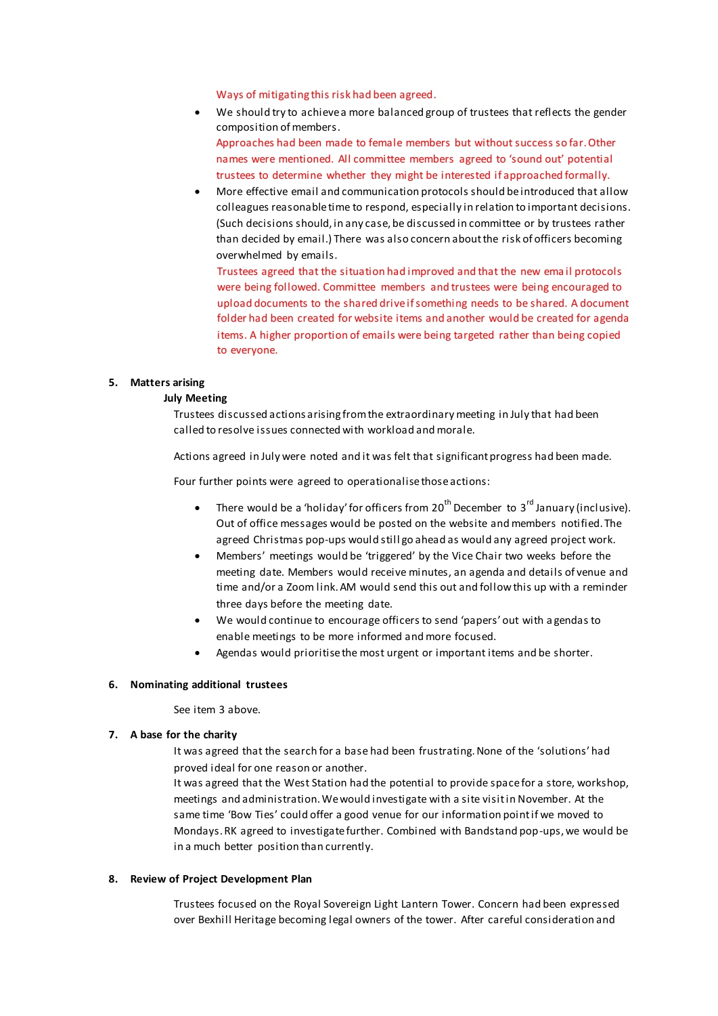### Ways of mitigating this risk had been agreed.

- We should try to achieve a more balanced group of trustees that reflects the gender composition of members. Approaches had been made to female members but without success so far. Other names were mentioned. All committee members agreed to 'sound out' potential trustees to determine whether they might be interested if approached formally.
- More effective email and communication protocols should be introduced that allow colleagues reasonable time to respond, especially in relation to important decisions. (Such decisions should, in any case, be discussed in committee or by trustees rather than decided by email.) There was also concern about the risk of officers becoming overwhelmed by emails.

Trustees agreed that the situation had improved and that the new ema il protocols were being followed. Committee members and trustees were being encouraged to upload documents to the shared drive if something needs to be shared. A document folder had been created for website items and another would be created for agenda items. A higher proportion of emails were being targeted rather than being copied to everyone.

## **5. Matters arising**

### **July Meeting**

Trustees discussed actions arising from the extraordinary meeting in July that had been called to resolve issues connected with workload and morale.

Actions agreed in July were noted and it was felt that significant progress had been made.

Four further points were agreed to operationalise those actions:

- There would be a 'holiday' for officers from  $20^{th}$  December to  $3^{rd}$  January (inclusive). Out of office messages would be posted on the website and members notified. The agreed Christmas pop-ups would still go ahead as would any agreed project work.
- Members' meetings would be 'triggered' by the Vice Chair two weeks before the meeting date. Members would receive minutes, an agenda and details of venue and time and/or a Zoom link. AM would send this out and follow this up with a reminder three days before the meeting date.
- We would continue to encourage officers to send 'papers' out with a gendas to enable meetings to be more informed and more focused.
- Agendas would prioritise the most urgent or important items and be shorter.

### **6. Nominating additional trustees**

See item 3 above.

### **7. A base for the charity**

It was agreed that the search for a base had been frustrating. None of the 'solutions' had proved ideal for one reason or another.

It was agreed that the West Station had the potential to provide space for a store, workshop, meetings and administration. We would investigate with a site visit in November. At the same time 'Bow Ties' could offer a good venue for our information point if we moved to Mondays. RK agreed to investigate further. Combined with Bandstand pop-ups, we would be in a much better position than currently.

#### **8. Review of Project Development Plan**

Trustees focused on the Royal Sovereign Light Lantern Tower. Concern had been expressed over Bexhill Heritage becoming legal owners of the tower. After careful consideration and